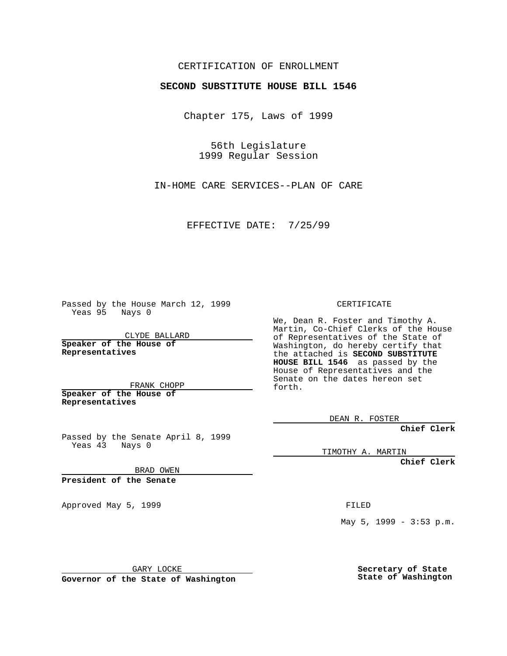## CERTIFICATION OF ENROLLMENT

## **SECOND SUBSTITUTE HOUSE BILL 1546**

Chapter 175, Laws of 1999

56th Legislature 1999 Regular Session

IN-HOME CARE SERVICES--PLAN OF CARE

EFFECTIVE DATE: 7/25/99

Passed by the House March 12, 1999 Yeas 95 Nays 0

CLYDE BALLARD **Speaker of the House of Representatives**

FRANK CHOPP **Speaker of the House of Representatives**

Passed by the Senate April 8, 1999 Yeas 43 Nays 0

CERTIFICATE

We, Dean R. Foster and Timothy A. Martin, Co-Chief Clerks of the House of Representatives of the State of Washington, do hereby certify that the attached is **SECOND SUBSTITUTE HOUSE BILL 1546** as passed by the House of Representatives and the Senate on the dates hereon set forth.

DEAN R. FOSTER

**Chief Clerk**

TIMOTHY A. MARTIN

**Chief Clerk**

BRAD OWEN

**President of the Senate**

Approved May 5, 1999 **FILED** 

May 5, 1999 - 3:53 p.m.

GARY LOCKE

**Governor of the State of Washington**

**Secretary of State State of Washington**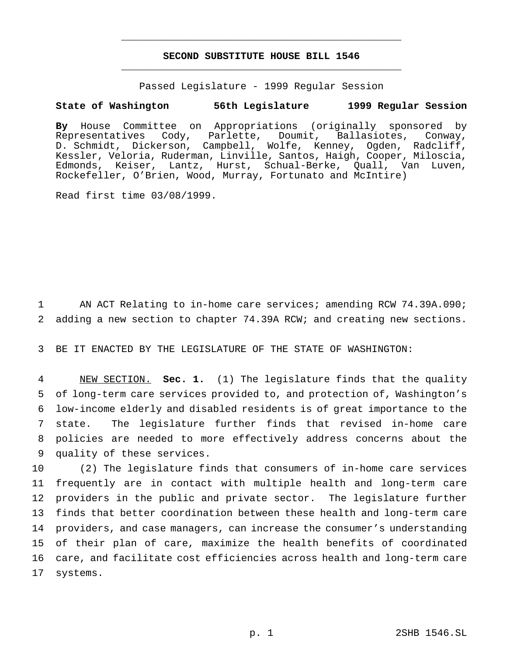## **SECOND SUBSTITUTE HOUSE BILL 1546** \_\_\_\_\_\_\_\_\_\_\_\_\_\_\_\_\_\_\_\_\_\_\_\_\_\_\_\_\_\_\_\_\_\_\_\_\_\_\_\_\_\_\_\_\_\_\_

\_\_\_\_\_\_\_\_\_\_\_\_\_\_\_\_\_\_\_\_\_\_\_\_\_\_\_\_\_\_\_\_\_\_\_\_\_\_\_\_\_\_\_\_\_\_\_

Passed Legislature - 1999 Regular Session

## **State of Washington 56th Legislature 1999 Regular Session**

**By** House Committee on Appropriations (originally sponsored by Cody, Parlette, Doumit, Ballasiotes, Conway, D. Schmidt, Dickerson, Campbell, Wolfe, Kenney, Ogden, Radcliff, Kessler, Veloria, Ruderman, Linville, Santos, Haigh, Cooper, Miloscia, Edmonds, Keiser, Lantz, Hurst, Schual-Berke, Quall, Van Luven, Rockefeller, O'Brien, Wood, Murray, Fortunato and McIntire)

Read first time 03/08/1999.

1 AN ACT Relating to in-home care services; amending RCW 74.39A.090; 2 adding a new section to chapter 74.39A RCW; and creating new sections.

3 BE IT ENACTED BY THE LEGISLATURE OF THE STATE OF WASHINGTON:

 NEW SECTION. **Sec. 1.** (1) The legislature finds that the quality of long-term care services provided to, and protection of, Washington's low-income elderly and disabled residents is of great importance to the state. The legislature further finds that revised in-home care policies are needed to more effectively address concerns about the quality of these services.

 (2) The legislature finds that consumers of in-home care services frequently are in contact with multiple health and long-term care providers in the public and private sector. The legislature further finds that better coordination between these health and long-term care providers, and case managers, can increase the consumer's understanding of their plan of care, maximize the health benefits of coordinated care, and facilitate cost efficiencies across health and long-term care 17 systems.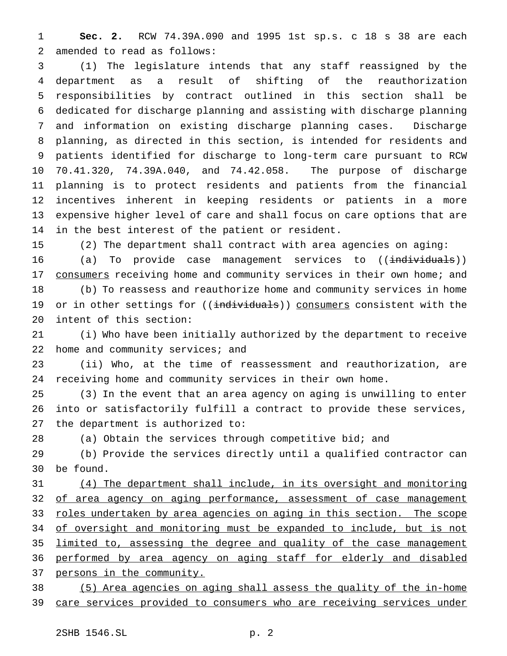**Sec. 2.** RCW 74.39A.090 and 1995 1st sp.s. c 18 s 38 are each amended to read as follows:

 (1) The legislature intends that any staff reassigned by the department as a result of shifting of the reauthorization responsibilities by contract outlined in this section shall be dedicated for discharge planning and assisting with discharge planning and information on existing discharge planning cases. Discharge planning, as directed in this section, is intended for residents and patients identified for discharge to long-term care pursuant to RCW 70.41.320, 74.39A.040, and 74.42.058. The purpose of discharge planning is to protect residents and patients from the financial incentives inherent in keeping residents or patients in a more expensive higher level of care and shall focus on care options that are in the best interest of the patient or resident.

(2) The department shall contract with area agencies on aging:

16 (a) To provide case management services to ((individuals)) 17 consumers receiving home and community services in their own home; and (b) To reassess and reauthorize home and community services in home

19 or in other settings for ((individuals)) consumers consistent with the intent of this section:

 (i) Who have been initially authorized by the department to receive 22 home and community services; and

 (ii) Who, at the time of reassessment and reauthorization, are receiving home and community services in their own home.

 (3) In the event that an area agency on aging is unwilling to enter into or satisfactorily fulfill a contract to provide these services, the department is authorized to:

(a) Obtain the services through competitive bid; and

 (b) Provide the services directly until a qualified contractor can be found.

 (4) The department shall include, in its oversight and monitoring 32 of area agency on aging performance, assessment of case management 33 roles undertaken by area agencies on aging in this section. The scope 34 of oversight and monitoring must be expanded to include, but is not limited to, assessing the degree and quality of the case management performed by area agency on aging staff for elderly and disabled persons in the community.

 (5) Area agencies on aging shall assess the quality of the in-home 39 care services provided to consumers who are receiving services under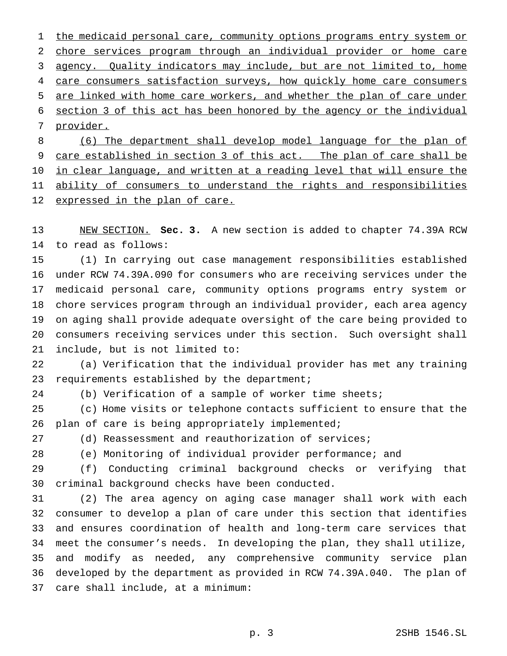1 the medicaid personal care, community options programs entry system or chore services program through an individual provider or home care agency. Quality indicators may include, but are not limited to, home 4 care consumers satisfaction surveys, how quickly home care consumers are linked with home care workers, and whether the plan of care under section 3 of this act has been honored by the agency or the individual provider. (6) The department shall develop model language for the plan of

 care established in section 3 of this act. The plan of care shall be 10 in clear language, and written at a reading level that will ensure the 11 ability of consumers to understand the rights and responsibilities 12 expressed in the plan of care.

 NEW SECTION. **Sec. 3.** A new section is added to chapter 74.39A RCW to read as follows:

 (1) In carrying out case management responsibilities established under RCW 74.39A.090 for consumers who are receiving services under the medicaid personal care, community options programs entry system or chore services program through an individual provider, each area agency on aging shall provide adequate oversight of the care being provided to consumers receiving services under this section. Such oversight shall include, but is not limited to:

 (a) Verification that the individual provider has met any training 23 requirements established by the department;

(b) Verification of a sample of worker time sheets;

 (c) Home visits or telephone contacts sufficient to ensure that the plan of care is being appropriately implemented;

(d) Reassessment and reauthorization of services;

(e) Monitoring of individual provider performance; and

 (f) Conducting criminal background checks or verifying that criminal background checks have been conducted.

 (2) The area agency on aging case manager shall work with each consumer to develop a plan of care under this section that identifies and ensures coordination of health and long-term care services that meet the consumer's needs. In developing the plan, they shall utilize, and modify as needed, any comprehensive community service plan developed by the department as provided in RCW 74.39A.040. The plan of care shall include, at a minimum: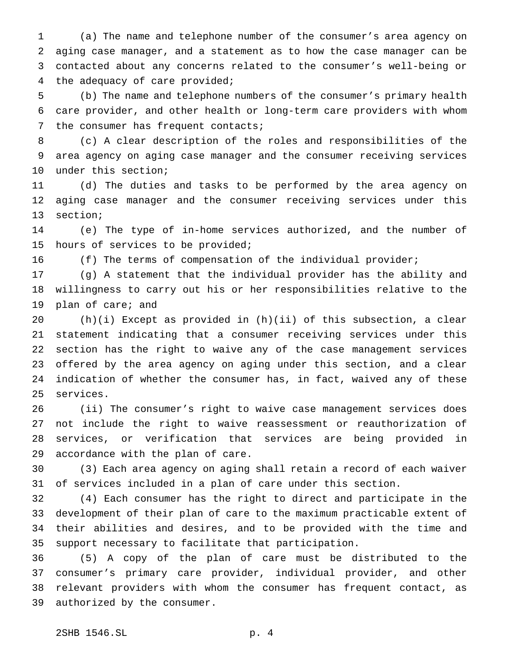(a) The name and telephone number of the consumer's area agency on aging case manager, and a statement as to how the case manager can be contacted about any concerns related to the consumer's well-being or the adequacy of care provided;

 (b) The name and telephone numbers of the consumer's primary health care provider, and other health or long-term care providers with whom 7 the consumer has frequent contacts;

 (c) A clear description of the roles and responsibilities of the area agency on aging case manager and the consumer receiving services under this section;

 (d) The duties and tasks to be performed by the area agency on aging case manager and the consumer receiving services under this section;

 (e) The type of in-home services authorized, and the number of hours of services to be provided;

(f) The terms of compensation of the individual provider;

 (g) A statement that the individual provider has the ability and willingness to carry out his or her responsibilities relative to the plan of care; and

 (h)(i) Except as provided in (h)(ii) of this subsection, a clear statement indicating that a consumer receiving services under this section has the right to waive any of the case management services offered by the area agency on aging under this section, and a clear indication of whether the consumer has, in fact, waived any of these services.

 (ii) The consumer's right to waive case management services does not include the right to waive reassessment or reauthorization of services, or verification that services are being provided in accordance with the plan of care.

 (3) Each area agency on aging shall retain a record of each waiver of services included in a plan of care under this section.

 (4) Each consumer has the right to direct and participate in the development of their plan of care to the maximum practicable extent of their abilities and desires, and to be provided with the time and support necessary to facilitate that participation.

 (5) A copy of the plan of care must be distributed to the consumer's primary care provider, individual provider, and other relevant providers with whom the consumer has frequent contact, as authorized by the consumer.